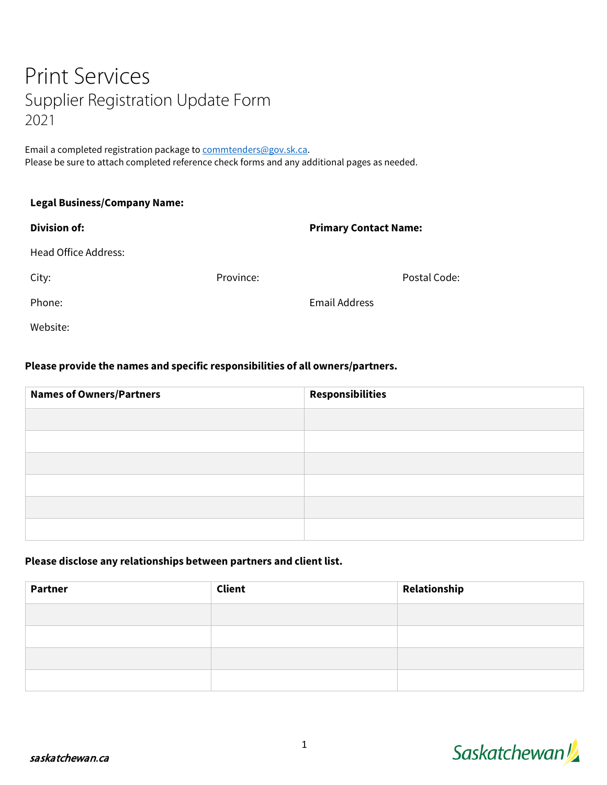# Print Services Supplier Registration Update Form 2021

Email a completed registration package t[o commtenders@gov.sk.ca.](mailto:commtenders@gov.sk.ca) Please be sure to attach completed reference check forms and any additional pages as needed.

| <b>Legal Business/Company Name:</b> |           |                              |              |  |
|-------------------------------------|-----------|------------------------------|--------------|--|
| <b>Division of:</b>                 |           | <b>Primary Contact Name:</b> |              |  |
| <b>Head Office Address:</b>         |           |                              |              |  |
| City:                               | Province: |                              | Postal Code: |  |
| Phone:                              |           | <b>Email Address</b>         |              |  |
| Website:                            |           |                              |              |  |

#### **Please provide the names and specific responsibilities of all owners/partners.**

| <b>Names of Owners/Partners</b> | <b>Responsibilities</b> |  |
|---------------------------------|-------------------------|--|
|                                 |                         |  |
|                                 |                         |  |
|                                 |                         |  |
|                                 |                         |  |
|                                 |                         |  |
|                                 |                         |  |

#### **Please disclose any relationships between partners and client list.**

| <b>Partner</b> | Client | Relationship |
|----------------|--------|--------------|
|                |        |              |
|                |        |              |
|                |        |              |
|                |        |              |